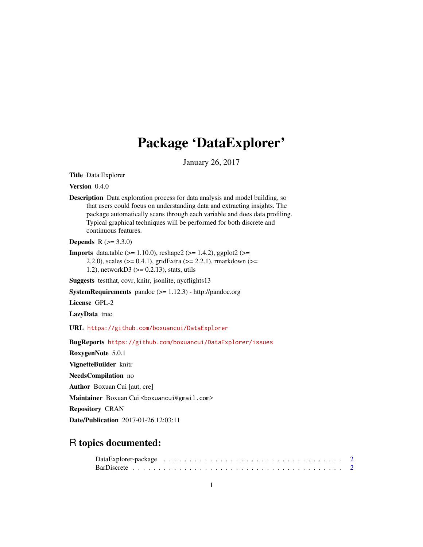# Package 'DataExplorer'

January 26, 2017

<span id="page-0-0"></span>Title Data Explorer

Version 0.4.0

Description Data exploration process for data analysis and model building, so that users could focus on understanding data and extracting insights. The package automatically scans through each variable and does data profiling. Typical graphical techniques will be performed for both discrete and continuous features.

**Depends**  $R (= 3.3.0)$ 

**Imports** data.table ( $>= 1.10.0$ ), reshape2 ( $>= 1.4.2$ ), ggplot2 ( $>= 1.4.2$ ) 2.2.0), scales (>= 0.4.1), gridExtra (>= 2.2.1), rmarkdown (>= 1.2), networkD3 (>= 0.2.13), stats, utils

Suggests testthat, covr, knitr, jsonlite, nycflights13

SystemRequirements pandoc (>= 1.12.3) - http://pandoc.org

License GPL-2

LazyData true

URL <https://github.com/boxuancui/DataExplorer>

BugReports <https://github.com/boxuancui/DataExplorer/issues>

RoxygenNote 5.0.1

VignetteBuilder knitr

NeedsCompilation no

Author Boxuan Cui [aut, cre]

Maintainer Boxuan Cui <br/>boxuancui@gmail.com>

Repository CRAN

Date/Publication 2017-01-26 12:03:11

# R topics documented: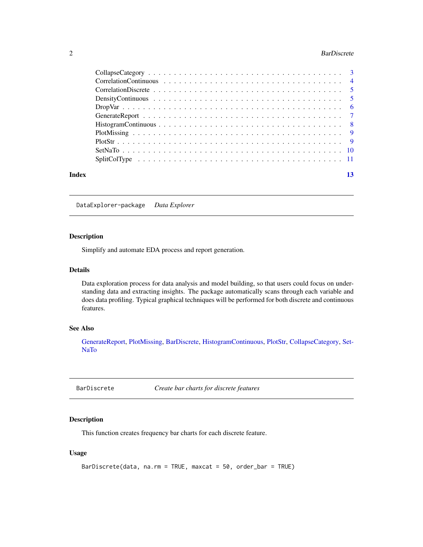#### <span id="page-1-0"></span>2 BarDiscrete

| Index | 13 |
|-------|----|

DataExplorer-package *Data Explorer*

# Description

Simplify and automate EDA process and report generation.

#### Details

Data exploration process for data analysis and model building, so that users could focus on understanding data and extracting insights. The package automatically scans through each variable and does data profiling. Typical graphical techniques will be performed for both discrete and continuous features.

#### See Also

[GenerateReport,](#page-6-1) [PlotMissing,](#page-8-1) [BarDiscrete,](#page-1-1) [HistogramContinuous,](#page-7-1) [PlotStr,](#page-8-2) [CollapseCategory,](#page-2-1) [Set-](#page-9-1)[NaTo](#page-9-1)

<span id="page-1-1"></span>BarDiscrete *Create bar charts for discrete features*

#### Description

This function creates frequency bar charts for each discrete feature.

# Usage

```
BarDiscrete(data, na.rm = TRUE, maxcat = 50, order_bar = TRUE)
```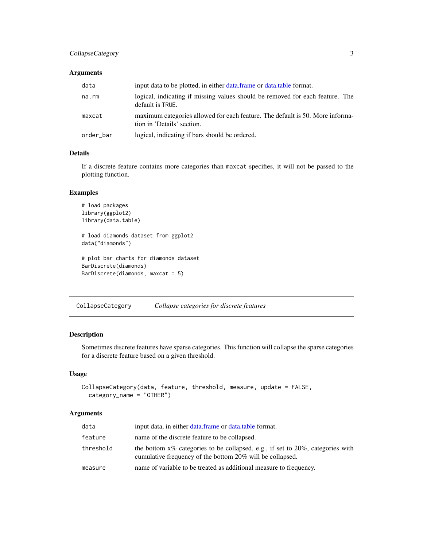# <span id="page-2-0"></span>CollapseCategory 3

### Arguments

| data      | input data to be plotted, in either data.frame or data.table format.                                        |
|-----------|-------------------------------------------------------------------------------------------------------------|
| na.rm     | logical, indicating if missing values should be removed for each feature. The<br>default is TRUE.           |
| maxcat    | maximum categories allowed for each feature. The default is 50. More informa-<br>tion in 'Details' section. |
| order_bar | logical, indicating if bars should be ordered.                                                              |

# Details

If a discrete feature contains more categories than maxcat specifies, it will not be passed to the plotting function.

### Examples

```
# load packages
library(ggplot2)
library(data.table)
# load diamonds dataset from ggplot2
data("diamonds")
# plot bar charts for diamonds dataset
BarDiscrete(diamonds)
BarDiscrete(diamonds, maxcat = 5)
```
<span id="page-2-1"></span>CollapseCategory *Collapse categories for discrete features*

# Description

Sometimes discrete features have sparse categories. This function will collapse the sparse categories for a discrete feature based on a given threshold.

#### Usage

```
CollapseCategory(data, feature, threshold, measure, update = FALSE,
 category_name = "OTHER")
```
# Arguments

| data      | input data, in either data.frame or data.table format.                                                                                         |
|-----------|------------------------------------------------------------------------------------------------------------------------------------------------|
| feature   | name of the discrete feature to be collapsed.                                                                                                  |
| threshold | the bottom $x\%$ categories to be collapsed, e.g., if set to 20%, categories with<br>cumulative frequency of the bottom 20% will be collapsed. |
| measure   | name of variable to be treated as additional measure to frequency.                                                                             |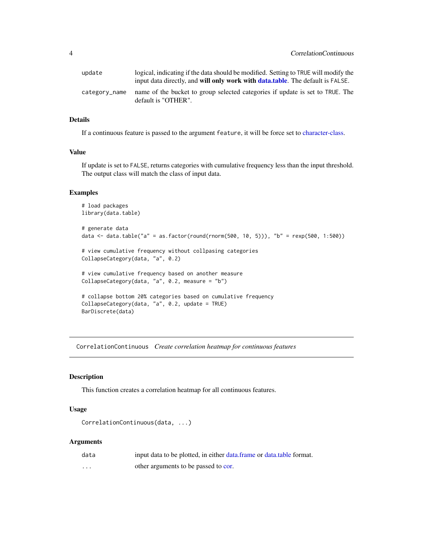<span id="page-3-0"></span>

| update        | logical, indicating if the data should be modified. Setting to TRUE will modify the<br>input data directly, and will only work with data table. The default is FALSE. |
|---------------|-----------------------------------------------------------------------------------------------------------------------------------------------------------------------|
| category_name | name of the bucket to group selected categories if update is set to TRUE. The<br>default is "OTHER".                                                                  |

# Details

If a continuous feature is passed to the argument feature, it will be force set to [character-class.](#page-0-0)

# Value

If update is set to FALSE, returns categories with cumulative frequency less than the input threshold. The output class will match the class of input data.

#### Examples

```
# load packages
library(data.table)
# generate data
data <- data.table("a" = as.factor(round(rnorm(500, 10, 5))), "b" = rexp(500, 1:500))
# view cumulative frequency without collpasing categories
CollapseCategory(data, "a", 0.2)
# view cumulative frequency based on another measure
CollapseCategory(data, "a", 0.2, measure = "b")
# collapse bottom 20% categories based on cumulative frequency
CollapseCategory(data, "a", 0.2, update = TRUE)
BarDiscrete(data)
```
CorrelationContinuous *Create correlation heatmap for continuous features*

#### Description

This function creates a correlation heatmap for all continuous features.

#### Usage

```
CorrelationContinuous(data, ...)
```
#### Arguments

| data | input data to be plotted, in either data frame or data table format. |
|------|----------------------------------------------------------------------|
| .    | other arguments to be passed to cor.                                 |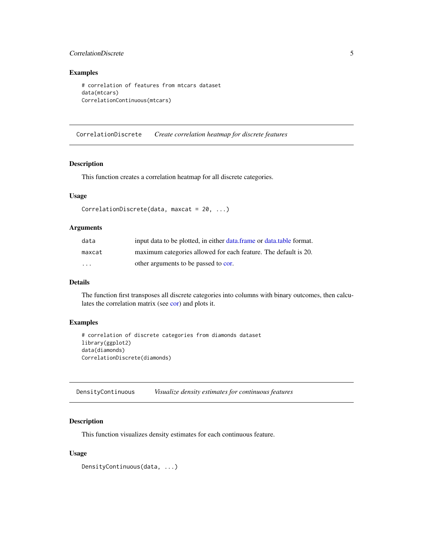### <span id="page-4-0"></span>CorrelationDiscrete 5

# Examples

```
# correlation of features from mtcars dataset
data(mtcars)
CorrelationContinuous(mtcars)
```
CorrelationDiscrete *Create correlation heatmap for discrete features*

#### Description

This function creates a correlation heatmap for all discrete categories.

# Usage

```
CorrelationDiscrete(data, maxcat = 20, ...)
```
# Arguments

| data                    | input data to be plotted, in either data.frame or data.table format. |
|-------------------------|----------------------------------------------------------------------|
| maxcat                  | maximum categories allowed for each feature. The default is 20.      |
| $\cdot$ $\cdot$ $\cdot$ | other arguments to be passed to cor.                                 |

# Details

The function first transposes all discrete categories into columns with binary outcomes, then calculates the correlation matrix (see [cor\)](#page-0-0) and plots it.

# Examples

```
# correlation of discrete categories from diamonds dataset
library(ggplot2)
data(diamonds)
CorrelationDiscrete(diamonds)
```
DensityContinuous *Visualize density estimates for continuous features*

# Description

This function visualizes density estimates for each continuous feature.

#### Usage

DensityContinuous(data, ...)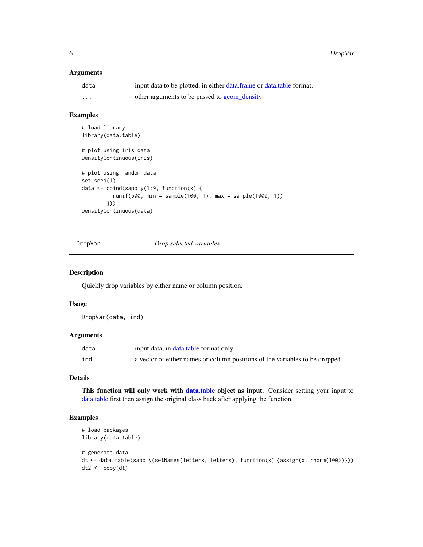# <span id="page-5-0"></span>Arguments

| data    | input data to be plotted, in either data.frame or data.table format. |
|---------|----------------------------------------------------------------------|
| $\cdot$ | other arguments to be passed to geom_density.                        |

# Examples

```
# load library
library(data.table)
# plot using iris data
DensityContinuous(iris)
# plot using random data
set.seed(1)
data <- cbind(sapply(1:9, function(x) {
          runif(500, min = sample(100, 1), max = sample(1000, 1))
        }))
DensityContinuous(data)
```
DropVar *Drop selected variables*

#### Description

Quickly drop variables by either name or column position.

#### Usage

DropVar(data, ind)

# Arguments

| data | input data, in data.table format only.                                       |
|------|------------------------------------------------------------------------------|
| ind  | a vector of either names or column positions of the variables to be dropped. |

#### Details

This function will only work with [data.table](#page-0-0) object as input. Consider setting your input to [data.table](#page-0-0) first then assign the original class back after applying the function.

```
# load packages
library(data.table)
# generate data
dt <- data.table(sapply(setNames(letters, letters), function(x) {assign(x, rnorm(100))}))
dt2 < -copy(dt)
```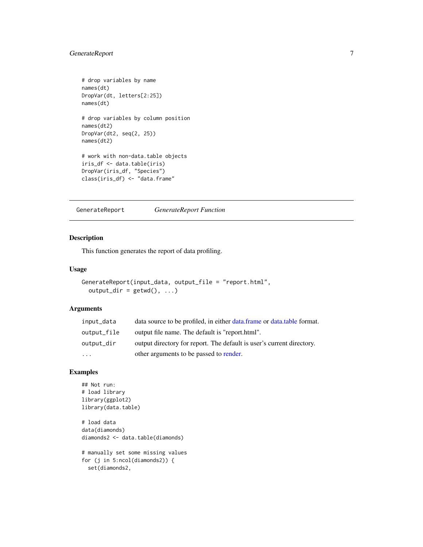# <span id="page-6-0"></span>GenerateReport 7

```
# drop variables by name
names(dt)
DropVar(dt, letters[2:25])
names(dt)
# drop variables by column position
names(dt2)
DropVar(dt2, seq(2, 25))
names(dt2)
# work with non-data.table objects
iris_df <- data.table(iris)
DropVar(iris_df, "Species")
class(iris_df) <- "data.frame"
```
<span id="page-6-1"></span>GenerateReport *GenerateReport Function*

# Description

This function generates the report of data profiling.

#### Usage

```
GenerateReport(input_data, output_file = "report.html",
 output\_dir = getwd(), ...)
```
# Arguments

| input_data  | data source to be profiled, in either data frame or data table format. |
|-------------|------------------------------------------------------------------------|
| output_file | output file name. The default is "report.html".                        |
| output_dir  | output directory for report. The default is user's current directory.  |
| $\ddotsc$   | other arguments to be passed to render.                                |

```
## Not run:
# load library
library(ggplot2)
library(data.table)
# load data
data(diamonds)
diamonds2 <- data.table(diamonds)
# manually set some missing values
for (j in 5:ncol(diamonds2)) {
  set(diamonds2,
```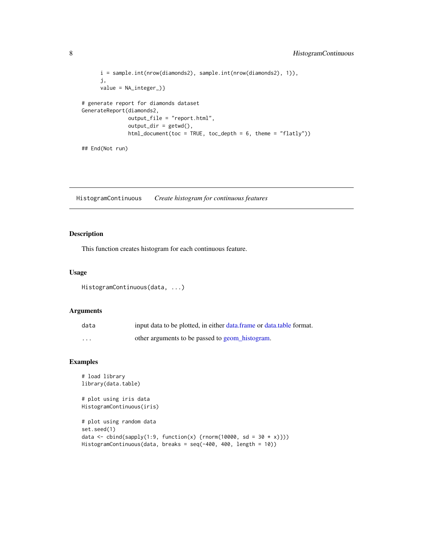```
i = sample.int(nrow(diamonds2), sample.int(nrow(diamonds2), 1)),
      j,
      value = NA_integer_)}
# generate report for diamonds dataset
GenerateReport(diamonds2,
               output_file = "report.html",
               output\_dir = getwd(),
               html_document(toc = TRUE, toc_depth = 6, theme = "flatly"))
## End(Not run)
```
<span id="page-7-1"></span>HistogramContinuous *Create histogram for continuous features*

# Description

This function creates histogram for each continuous feature.

#### Usage

```
HistogramContinuous(data, ...)
```
#### Arguments

| data     | input data to be plotted, in either data.frame or data.table format. |
|----------|----------------------------------------------------------------------|
| $\cdots$ | other arguments to be passed to geom_histogram.                      |

```
# load library
library(data.table)
# plot using iris data
HistogramContinuous(iris)
# plot using random data
set.seed(1)
data <- cbind(sapply(1:9, function(x) {rnorm(10000, sd = 30 * x)}))
HistogramContinuous(data, breaks = seq(-400, 400, length = 10))
```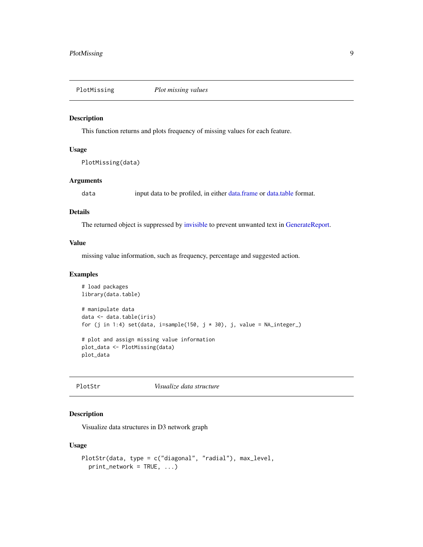<span id="page-8-1"></span><span id="page-8-0"></span>

#### Description

This function returns and plots frequency of missing values for each feature.

#### Usage

PlotMissing(data)

#### Arguments

data input data to be profiled, in either [data.frame](#page-0-0) or [data.table](#page-0-0) format.

#### Details

The returned object is suppressed by [invisible](#page-0-0) to prevent unwanted text in [GenerateReport.](#page-6-1)

#### Value

missing value information, such as frequency, percentage and suggested action.

# Examples

```
# load packages
library(data.table)
# manipulate data
data <- data.table(iris)
for (j in 1:4) set(data, i=sample(150, j \times 30), j, value = NA_integer_)
# plot and assign missing value information
plot_data <- PlotMissing(data)
plot_data
```
<span id="page-8-2"></span>

# PlotStr *Visualize data structure*

# Description

Visualize data structures in D3 network graph

# Usage

```
PlotStr(data, type = c("diagonal", "radial"), max_level,
 print_network = TRUE, ...)
```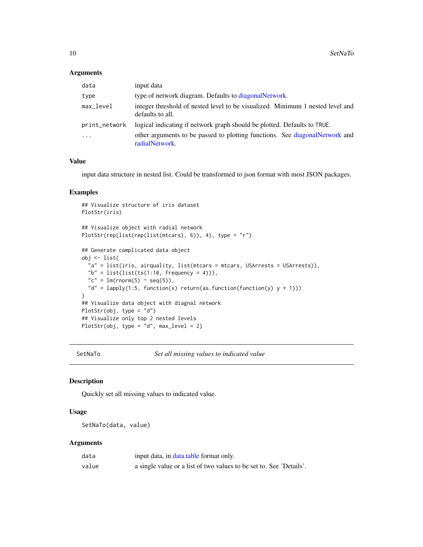#### <span id="page-9-0"></span>Arguments

| data          | input data                                                                                         |
|---------------|----------------------------------------------------------------------------------------------------|
| type          | type of network diagram. Defaults to diagonal Network.                                             |
| max_level     | integer threshold of nested level to be visualized. Minimum 1 nested level and<br>defaults to all. |
| print_network | logical indicating if network graph should be plotted. Defaults to TRUE.                           |
| $\ddotsc$     | other arguments to be passed to plotting functions. See diagonalNetwork and<br>radialNetwork.      |

# Value

input data structure in nested list. Could be transformed to json format with most JSON packages.

#### Examples

```
## Visualize structure of iris dataset
PlotStr(iris)
## Visualize object with radial network
PlotStr(rep(list(rep(list(mtcars), 6)), 4), type = "r")
## Generate complicated data object
obj <- list(
  "a" = list(iris, airquality, list(mtcars = mtcars, USArrests = USArrests)),
  "b" = list(list(ts(1:10, frequency = 4)),
  "c" = lm(rnorm(5) \sim seq(5)),
  "d" = lapply(1:5, function(x) return(as.function(function(y) y + 1)))
)
## Visualize data object with diagnal network
PlotStr(obj, type = "d")
## Visualize only top 2 nested levels
PlotStr(obj, type = nd", max_level = 2)
```
SetNaTo *Set all missing values to indicated value*

#### Description

Quickly set all missing values to indicated value.

#### Usage

```
SetNaTo(data, value)
```
#### Arguments

| data  | input data, in data.table format only.                              |
|-------|---------------------------------------------------------------------|
| value | a single value or a list of two values to be set to. See 'Details'. |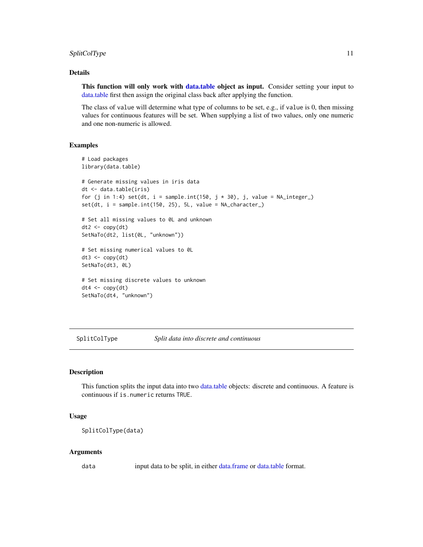# <span id="page-10-0"></span>SplitColType 11

### Details

This function will only work with [data.table](#page-0-0) object as input. Consider setting your input to [data.table](#page-0-0) first then assign the original class back after applying the function.

The class of value will determine what type of columns to be set, e.g., if value is 0, then missing values for continuous features will be set. When supplying a list of two values, only one numeric and one non-numeric is allowed.

#### Examples

```
# Load packages
library(data.table)
# Generate missing values in iris data
dt <- data.table(iris)
for (j in 1:4) set(dt, i = sample.int(150, j * 30), j, value = NA_integer_)
set(dt, i = sample.int(150, 25), 5L, value = NA_character_)
# Set all missing values to 0L and unknown
dt2 < -\text{copy}(dt)SetNaTo(dt2, list(0L, "unknown"))
# Set missing numerical values to 0L
dt3 < -\text{copy}(dt)SetNaTo(dt3, 0L)
# Set missing discrete values to unknown
dt4 < -\text{copy}(dt)SetNaTo(dt4, "unknown")
```
SplitColType *Split data into discrete and continuous*

# Description

This function splits the input data into two [data.table](#page-0-0) objects: discrete and continuous. A feature is continuous if is.numeric returns TRUE.

#### Usage

```
SplitColType(data)
```
#### Arguments

data input data to be split, in either [data.frame](#page-0-0) or [data.table](#page-0-0) format.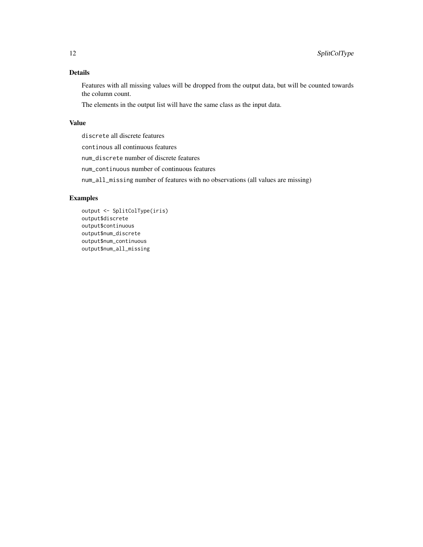# Details

Features with all missing values will be dropped from the output data, but will be counted towards the column count.

The elements in the output list will have the same class as the input data.

# Value

discrete all discrete features

continous all continuous features

num\_discrete number of discrete features

num\_continuous number of continuous features

num\_all\_missing number of features with no observations (all values are missing)

```
output <- SplitColType(iris)
output$discrete
output$continuous
output$num_discrete
output$num_continuous
output$num_all_missing
```